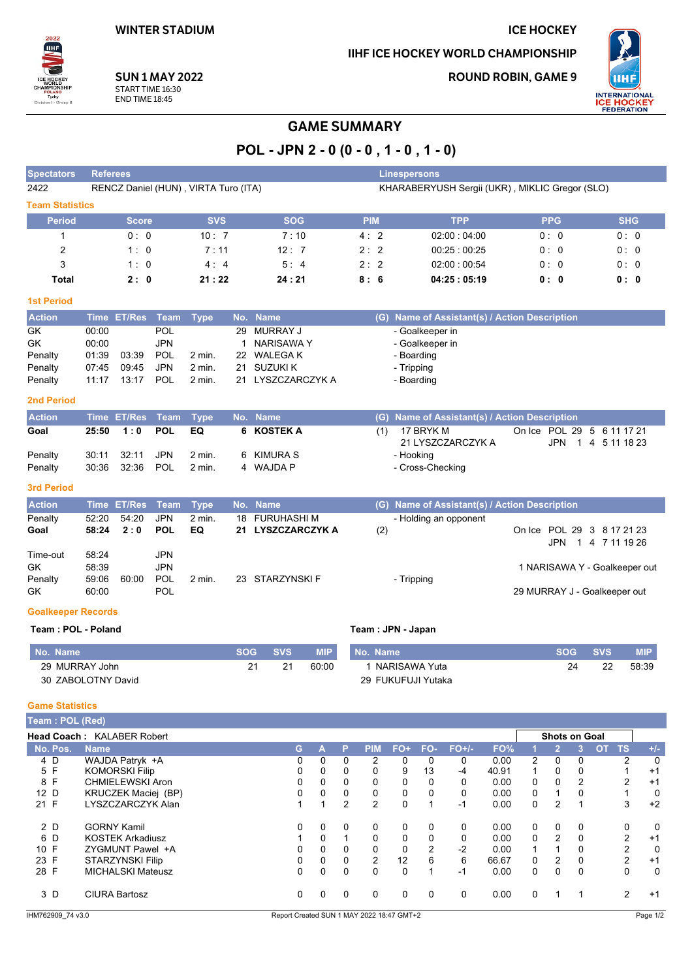### **ICE HOCKEY**

IIHF ICE HOCKEY WORLD CHAMPIONSHIP

**ROUND ROBIN, GAME 9** 



**SUN 1 MAY 2022** START TIME 16:30 **END TIME 18:45** 

# **GAME SUMMARY**

POL - JPN 2 - 0 (0 - 0, 1 - 0, 1 - 0)

| <b>Spectators</b>      | <b>Referees</b>                      |            |            |            | <b>Linespersons</b>                            |            |            |
|------------------------|--------------------------------------|------------|------------|------------|------------------------------------------------|------------|------------|
| 2422                   | RENCZ Daniel (HUN), VIRTA Turo (ITA) |            |            |            | KHARABERYUSH Sergii (UKR), MIKLIC Gregor (SLO) |            |            |
| <b>Team Statistics</b> |                                      |            |            |            |                                                |            |            |
| <b>Period</b>          | <b>Score</b>                         | <b>SVS</b> | <b>SOG</b> | <b>PIM</b> | <b>TPP</b>                                     | <b>PPG</b> | <b>SHG</b> |
|                        | 0:0                                  | 10:7       | 7:10       | 4:2        | 02:00:04:00                                    | 0:0        | 0:0        |
| 2                      | 1:0                                  | 7:11       | 12:7       | 2:2        | 00:25:00:25                                    | 0:0        | 0:0        |
| 3                      | 1:0                                  | 4:4        | 5:4        | 2:2        | 02:00:00:54                                    | 0:0        | 0:0        |
| Total                  | 2:0                                  | 21:22      | 24:21      | 8:6        | 04:25:05:19                                    | 0:0        | 0:0        |
|                        |                                      |            |            |            |                                                |            |            |

#### **1st Period**

2022 IIHF

| <b>Action</b> |       | Time ET/Res Team Type |      |                   | No. Name          |            | (G) Name of Assistant(s) / Action Description |
|---------------|-------|-----------------------|------|-------------------|-------------------|------------|-----------------------------------------------|
| GK.           | 00:00 |                       | POL. |                   | 29 MURRAY J       |            | - Goalkeeper in                               |
| <b>GK</b>     | 00:00 |                       | JPN  |                   | NARISAWA Y        |            | - Goalkeeper in                               |
| Penalty       | 01:39 | 03:39                 | POL  | $2 \text{ min}$ . | 22 WALEGA K       | - Boarding |                                               |
| Penalty       |       | 07:45 09:45           | JPN  | $2 \text{ min.}$  | 21 SUZUKI K       | - Tripping |                                               |
| Penalty       |       |                       |      | $2$ min.          | 21 LYSZCZARCZYK A | - Boarding |                                               |

#### 2nd Period

| <b>Action</b> |                  | 'Time ET/Res Team Type  No. Name, |    |            |     | (G) Name of Assistant(s) / Action Description |                            |
|---------------|------------------|-----------------------------------|----|------------|-----|-----------------------------------------------|----------------------------|
| Goal          | 25:50 1:0 POL EQ |                                   |    | 6 KOSTEK A | (1) | 17 BRYK M                                     | On Ice POL 29 5 6 11 17 21 |
|               |                  |                                   |    |            |     | 21 LYSZCZARCZYK A                             | JPN 1 4 5 11 18 23         |
| Penalty       | 30:11 32:11 JPN  | 2 min.                            | -6 | KIMURA S   |     | - Hooking                                     |                            |
| Penalty       |                  | 2 min.                            | 4  | WAJDA P    |     | - Cross-Checking                              |                            |

#### **3rd Period**

| <b>Action</b> |       | Time ET/Res Team Type |            |                   | No. Name          |     | (G) Name of Assistant(s) / Action Description \ |
|---------------|-------|-----------------------|------------|-------------------|-------------------|-----|-------------------------------------------------|
| Penalty       | 52:20 | 54:20                 | <b>JPN</b> | $2$ min.          | 18 FURUHASHI M    |     | - Holding an opponent                           |
| Goal          | 58:24 | 2:0                   | <b>POL</b> | EQ.               | 21 LYSZCZARCZYK A | (2) | On Ice POL 29 3 8 17 21 23                      |
|               |       |                       |            |                   |                   |     | JPN 1 4 7 11 19 26                              |
| Time-out      | 58:24 |                       | <b>JPN</b> |                   |                   |     |                                                 |
| <b>GK</b>     | 58.39 |                       | <b>JPN</b> |                   |                   |     | 1 NARISAWA Y - Goalkeeper out                   |
| Penalty       | 59:06 | 60:00                 | <b>POL</b> | $2 \text{ min}$ . | 23 STARZYNSKI F   |     | - Tripping                                      |
| <b>GK</b>     | 60:00 |                       | POL        |                   |                   |     | 29 MURRAY J - Goalkeeper out                    |

#### **Goalkeeper Records**

#### Team: POL - Poland

| No. Name           | <b>SOG</b> | <b>SVS</b> | <b>MIP</b> | <b>Name</b><br>No. | <b>SOG</b> | <b>SVS</b> | MIP   |
|--------------------|------------|------------|------------|--------------------|------------|------------|-------|
| 29 MURRAY John     | 21         |            | 60:00      | NARISAWA Yuta      | 24         | nn         | 58:39 |
| 30 ZABOLOTNY David |            |            |            | 29 FUKUFUJI Yutaka |            |            |       |

Team: JPN - Japan

#### **Game Statistics**

| Team: POL (Red) |                                   |    |   |          |                |          |               |          |       |          |                      |              |           |                |               |
|-----------------|-----------------------------------|----|---|----------|----------------|----------|---------------|----------|-------|----------|----------------------|--------------|-----------|----------------|---------------|
|                 | <b>Head Coach: KALABER Robert</b> |    |   |          |                |          |               |          |       |          | <b>Shots on Goal</b> |              |           |                |               |
| No. Pos.        | <b>Name</b>                       | G. | А | P        | <b>PIM</b>     | $FO+$    | FO-           | $FO+/-$  | FO%   |          |                      |              | <b>OT</b> | <b>TS</b>      | $+/-$         |
| 4 D             | WAJDA Patryk +A                   | 0  | 0 | 0        | 2              | $\Omega$ | 0             | 0        | 0.00  | 2        | 0                    | 0            |           | 2              | 0             |
| 5 F             | <b>KOMORSKI Filip</b>             | 0  | 0 | 0        | $\Omega$       | 9        | 13            | $-4$     | 40.91 |          | 0                    | 0            |           |                | $+1$          |
| 8 F             | <b>CHMIELEWSKI Aron</b>           | 0  | 0 | 0        | 0              | 0        | 0             | 0        | 0.00  | 0        | 0                    | 2            |           | 2              | $+1$          |
| 12 D            | KRUCZEK Maciej (BP)               | 0  | 0 | 0        | 0              | $\Omega$ | 0             | $\Omega$ | 0.00  | 0        |                      | $\Omega$     |           |                | 0             |
| 21 F            | LYSZCZARCZYK Alan                 |    |   | 2        | $\overline{2}$ | $\Omega$ |               | $-1$     | 0.00  | 0        | 2                    |              |           | 3              | $+2$          |
| 2 D             | <b>GORNY Kamil</b>                | 0  | 0 | 0        | 0              | 0        | 0             | 0        | 0.00  | 0        | 0                    | $\mathbf{0}$ |           | 0              | 0             |
| 6 D             | <b>KOSTEK Arkadiusz</b>           |    | 0 |          | $\Omega$       | 0        | 0             | 0        | 0.00  | 0        | $\mathcal{P}$        | 0            |           | $\overline{2}$ | $+1$          |
| 10 F            | ZYGMUNT Pawel +A                  | 0  | 0 | 0        | $\Omega$       | $\Omega$ | $\mathcal{P}$ | $-2$     | 0.00  |          |                      | $\Omega$     |           | 2              | 0             |
| 23 F            | STARZYNSKI Filip                  | 0  | 0 | $\Omega$ | 2              | 12       | 6             | 6        | 66.67 | 0        | 2                    | 0            |           | 2              | $+1$          |
| 28 F            | <b>MICHALSKI Mateusz</b>          | 0  | 0 | $\Omega$ | 0              | $\Omega$ |               | -1       | 0.00  | 0        | 0                    | 0            |           | 0              | 0             |
| 3 D             | <b>CIURA Bartosz</b>              | 0  | 0 | 0        | 0              | 0        | 0             | 0        | 0.00  | $\Omega$ |                      | 1            |           | 2              | $+1$          |
| $\cdots$        |                                   |    |   |          |                |          |               |          |       |          |                      |              |           |                | $\sim$ $\sim$ |